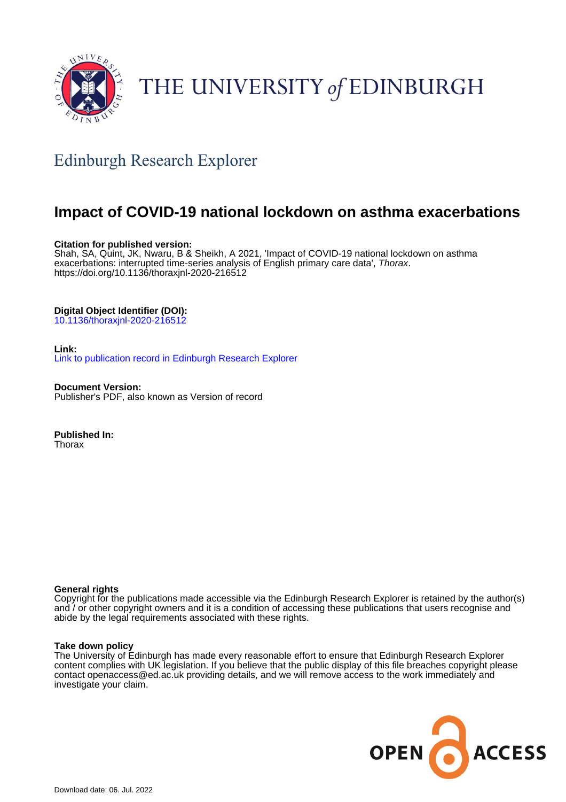

# THE UNIVERSITY of EDINBURGH

## Edinburgh Research Explorer

## **Impact of COVID-19 national lockdown on asthma exacerbations**

#### **Citation for published version:**

Shah, SA, Quint, JK, Nwaru, B & Sheikh, A 2021, 'Impact of COVID-19 national lockdown on asthma exacerbations: interrupted time-series analysis of English primary care data', Thorax. <https://doi.org/10.1136/thoraxjnl-2020-216512>

#### **Digital Object Identifier (DOI):**

[10.1136/thoraxjnl-2020-216512](https://doi.org/10.1136/thoraxjnl-2020-216512)

#### **Link:**

[Link to publication record in Edinburgh Research Explorer](https://www.research.ed.ac.uk/en/publications/c3c5be50-0cca-4429-b96d-3bc5391c0a25)

**Document Version:** Publisher's PDF, also known as Version of record

**Published In: Thorax** 

#### **General rights**

Copyright for the publications made accessible via the Edinburgh Research Explorer is retained by the author(s) and / or other copyright owners and it is a condition of accessing these publications that users recognise and abide by the legal requirements associated with these rights.

#### **Take down policy**

The University of Edinburgh has made every reasonable effort to ensure that Edinburgh Research Explorer content complies with UK legislation. If you believe that the public display of this file breaches copyright please contact openaccess@ed.ac.uk providing details, and we will remove access to the work immediately and investigate your claim.

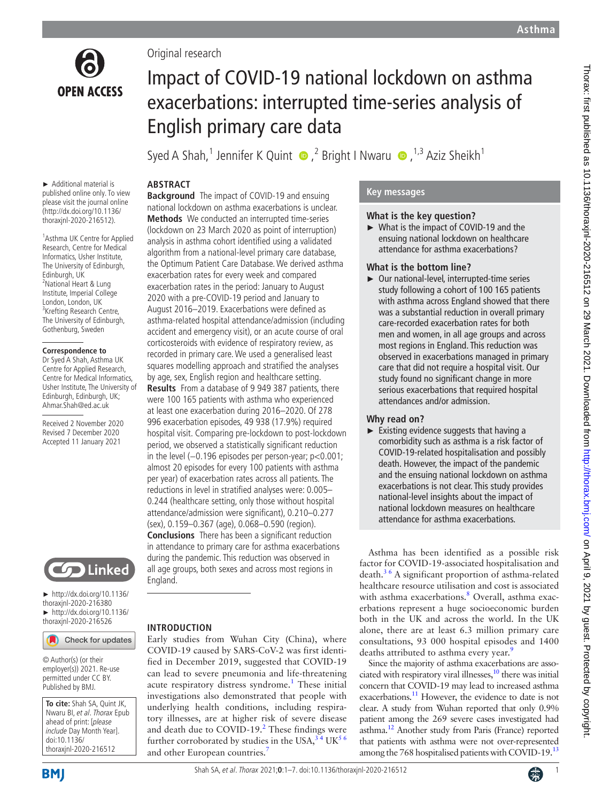

Original research

# Impact of COVID-19 national lockdown on asthma exacerbations: interrupted time-series analysis of English primary care data

SyedA Shah,<sup>1</sup> Jennifer K Quint  $\bullet$  ,<sup>2</sup> Bright I Nwaru  $\bullet$  ,<sup>1,3</sup> Aziz Sheikh<sup>1</sup>

### **ABSTRACT**

► Additional material is published online only. To view please visit the journal online (http://dx.doi.org/10.1136/ thoraxjnl-2020-216512).

1 Asthma UK Centre for Applied Research, Centre for Medical Informatics, Usher Institute, The University of Edinburgh, Edinburgh, UK 2 National Heart & Lung Institute, Imperial College London, London, UK <sup>3</sup>Krefting Research Centre, The University of Edinburgh, Gothenburg, Sweden

#### **Correspondence to**

Dr Syed A Shah, Asthma UK Centre for Applied Research, Centre for Medical Informatics, Usher Institute, The University of Edinburgh, Edinburgh, UK; Ahmar.Shah@ed.ac.uk

Received 2 November 2020 Revised 7 December 2020 Accepted 11 January 2021



► [http://dx.doi.org/10.1136/](http://dx.doi.org/10.1136/thoraxjnl-2020-216380) [thoraxjnl-2020-216380](http://dx.doi.org/10.1136/thoraxjnl-2020-216380) ► [http://dx.doi.org/10.1136/](http://dx.doi.org/10.1136/thoraxjnl-2020-216526) [thoraxjnl-2020-216526](http://dx.doi.org/10.1136/thoraxjnl-2020-216526)

Check for updates

© Author(s) (or their employer(s)) 2021. Re-use permitted under CC BY. Published by BMJ.

**To cite:** Shah SA, Quint JK, Nwaru BI, et al. Thorax Epub ahead of print: [please include Day Month Year]. doi:10.1136/ thoraxjnl-2020-216512

**Background** The impact of COVID-19 and ensuing national lockdown on asthma exacerbations is unclear. **Methods** We conducted an interrupted time-series (lockdown on 23 March 2020 as point of interruption) analysis in asthma cohort identified using a validated algorithm from a national-level primary care database, the Optimum Patient Care Database. We derived asthma exacerbation rates for every week and compared exacerbation rates in the period: January to August 2020 with a pre-COVID-19 period and January to August 2016–2019. Exacerbations were defined as asthma-related hospital attendance/admission (including accident and emergency visit), or an acute course of oral corticosteroids with evidence of respiratory review, as recorded in primary care. We used a generalised least squares modelling approach and stratified the analyses by age, sex, English region and healthcare setting. **Results** From a database of 9 949 387 patients, there were 100 165 patients with asthma who experienced at least one exacerbation during 2016–2020. Of 278 996 exacerbation episodes, 49 938 (17.9%) required hospital visit. Comparing pre-lockdown to post-lockdown period, we observed a statistically significant reduction in the level (−0.196 episodes per person-year; p<0.001; almost 20 episodes for every 100 patients with asthma per year) of exacerbation rates across all patients. The reductions in level in stratified analyses were: 0.005– 0.244 (healthcare setting, only those without hospital attendance/admission were significant), 0.210–0.277 (sex), 0.159–0.367 (age), 0.068–0.590 (region). **Conclusions** There has been a significant reduction in attendance to primary care for asthma exacerbations during the pandemic. This reduction was observed in all age groups, both sexes and across most regions in England.

#### **INTRODUCTION**

Early studies from Wuhan City (China), where COVID-19 caused by SARS-CoV-2 was first identified in December 2019, suggested that COVID-19 can lead to severe pneumonia and life-threatening acute respiratory distress syndrome.<sup>[1](#page-7-0)</sup> These initial investigations also demonstrated that people with underlying health conditions, including respiratory illnesses, are at higher risk of severe disease and death due to  $\text{COVID-19.}^2$  $\text{COVID-19.}^2$  These findings were further corroborated by studies in the USA,  $34$  UK $56$ and other European countries.

#### **Key messages**

#### **What is the key question?**

► What is the impact of COVID-19 and the ensuing national lockdown on healthcare attendance for asthma exacerbations?

#### **What is the bottom line?**

► Our national-level, interrupted-time series study following a cohort of 100 165 patients with asthma across England showed that there was a substantial reduction in overall primary care-recorded exacerbation rates for both men and women, in all age groups and across most regions in England. This reduction was observed in exacerbations managed in primary care that did not require a hospital visit. Our study found no significant change in more serious exacerbations that required hospital attendances and/or admission.

#### **Why read on?**

 $\blacktriangleright$  Existing evidence suggests that having a comorbidity such as asthma is a risk factor of COVID-19-related hospitalisation and possibly death. However, the impact of the pandemic and the ensuing national lockdown on asthma exacerbations is not clear. This study provides national-level insights about the impact of national lockdown measures on healthcare attendance for asthma exacerbations.

Asthma has been identified as a possible risk factor for COVID-19-associated hospitalisation and  $death<sup>36</sup>$  A significant proportion of asthma-related healthcare resource utilisation and cost is associated with asthma exacerbations.<sup>[8](#page-7-5)</sup> Overall, asthma exacerbations represent a huge socioeconomic burden both in the UK and across the world. In the UK alone, there are at least 6.3 million primary care consultations, 93 000 hospital episodes and 1400 deaths attributed to asthma every year.<sup>[9](#page-7-6)</sup>

Since the majority of asthma exacerbations are associated with respiratory viral illnesses, $10$  there was initial concern that COVID-19 may lead to increased asthma exacerbations.<sup>11</sup> However, the evidence to date is not clear. A study from Wuhan reported that only 0.9% patient among the 269 severe cases investigated had asthma.[12](#page-7-9) Another study from Paris (France) reported that patients with asthma were not over-represented among the 768 hospitalised patients with COVID-19.<sup>13</sup>

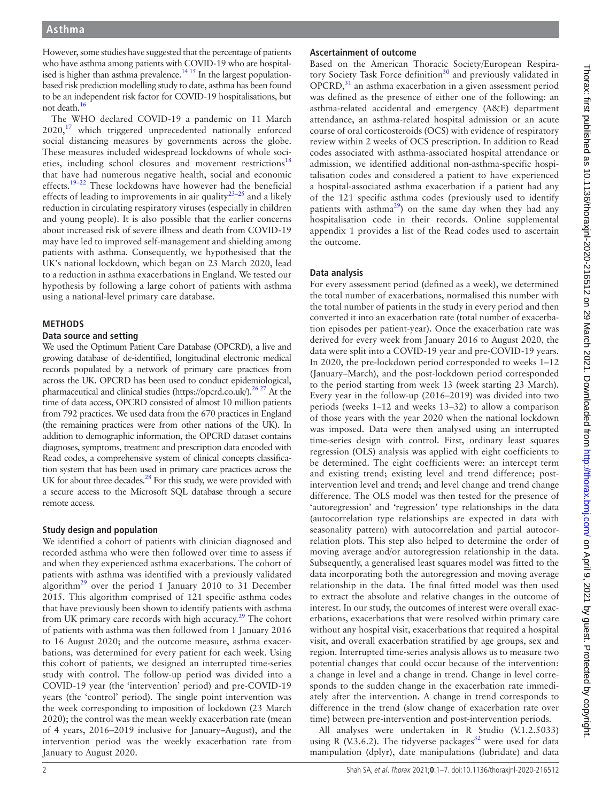However, some studies have suggested that the percentage of patients who have asthma among patients with COVID-19 who are hospitalised is higher than asthma prevalence.<sup>14 15</sup> In the largest populationbased risk prediction modelling study to date, asthma has been found to be an independent risk factor for COVID-19 hospitalisations, but not death.<sup>16</sup>

The WHO declared COVID-19 a pandemic on 11 March 2020,<sup>[17](#page-7-13)</sup> which triggered unprecedented nationally enforced social distancing measures by governments across the globe. These measures included widespread lockdowns of whole soci-eties, including school closures and movement restrictions<sup>[18](#page-7-14)</sup> that have had numerous negative health, social and economic effects.[19–22](#page-7-15) These lockdowns have however had the beneficial effects of leading to improvements in air quality<sup>23-25</sup> and a likely reduction in circulating respiratory viruses (especially in children and young people). It is also possible that the earlier concerns about increased risk of severe illness and death from COVID-19 may have led to improved self-management and shielding among patients with asthma. Consequently, we hypothesised that the UK's national lockdown, which began on 23 March 2020, lead to a reduction in asthma exacerbations in England. We tested our hypothesis by following a large cohort of patients with asthma using a national-level primary care database.

#### **METHODS**

#### **Data source and setting**

We used the Optimum Patient Care Database (OPCRD), a live and growing database of de-identified, longitudinal electronic medical records populated by a network of primary care practices from across the UK. OPCRD has been used to conduct epidemiological, pharmaceutical and clinical studies [\(https://opcrd.co.uk/](https://opcrd.co.uk/))[.26 27](#page-7-17) At the time of data access, OPCRD consisted of almost 10 million patients from 792 practices. We used data from the 670 practices in England (the remaining practices were from other nations of the UK). In addition to demographic information, the OPCRD dataset contains diagnoses, symptoms, treatment and prescription data encoded with Read codes, a comprehensive system of clinical concepts classification system that has been used in primary care practices across the UK for about three decades.<sup>28</sup> For this study, we were provided with a secure access to the Microsoft SQL database through a secure remote access.

#### **Study design and population**

We identified a cohort of patients with clinician diagnosed and recorded asthma who were then followed over time to assess if and when they experienced asthma exacerbations. The cohort of patients with asthma was identified with a previously validated algorithm<sup>[29](#page-7-19)</sup> over the period 1 January 2010 to 31 December 2015. This algorithm comprised of 121 specific asthma codes that have previously been shown to identify patients with asthma from UK primary care records with high accuracy. $29$  The cohort of patients with asthma was then followed from 1 January 2016 to 16 August 2020; and the outcome measure, asthma exacerbations, was determined for every patient for each week. Using this cohort of patients, we designed an interrupted time-series study with control. The follow-up period was divided into a COVID-19 year (the 'intervention' period) and pre-COVID-19 years (the 'control' period). The single point intervention was the week corresponding to imposition of lockdown (23 March 2020); the control was the mean weekly exacerbation rate (mean of 4 years, 2016–2019 inclusive for January–August), and the intervention period was the weekly exacerbation rate from January to August 2020.

#### **Ascertainment of outcome**

Based on the American Thoracic Society/European Respiratory Society Task Force definition<sup>30</sup> and previously validated in  $OPCRD<sub>1</sub><sup>31</sup>$  an asthma exacerbation in a given assessment period was defined as the presence of either one of the following: an asthma-related accidental and emergency (A&E) department attendance, an asthma-related hospital admission or an acute course of oral corticosteroids (OCS) with evidence of respiratory review within 2 weeks of OCS prescription. In addition to Read codes associated with asthma-associated hospital attendance or admission, we identified additional non-asthma-specific hospitalisation codes and considered a patient to have experienced a hospital-associated asthma exacerbation if a patient had any of the 121 specific asthma codes (previously used to identify patients with asthma<sup>[29](#page-7-19)</sup>) on the same day when they had any hospitalisation code in their records. [Online supplemental](https://dx.doi.org/10.1136/thoraxjnl-2020-216512) [appendix 1](https://dx.doi.org/10.1136/thoraxjnl-2020-216512) provides a list of the Read codes used to ascertain the outcome.

#### **Data analysis**

For every assessment period (defined as a week), we determined the total number of exacerbations, normalised this number with the total number of patients in the study in every period and then converted it into an exacerbation rate (total number of exacerbation episodes per patient-year). Once the exacerbation rate was derived for every week from January 2016 to August 2020, the data were split into a COVID-19 year and pre-COVID-19 years. In 2020, the pre-lockdown period corresponded to weeks 1–12 (January–March), and the post-lockdown period corresponded to the period starting from week 13 (week starting 23 March). Every year in the follow-up (2016–2019) was divided into two periods (weeks 1–12 and weeks 13–32) to allow a comparison of those years with the year 2020 when the national lockdown was imposed. Data were then analysed using an interrupted time-series design with control. First, ordinary least squares regression (OLS) analysis was applied with eight coefficients to be determined. The eight coefficients were: an intercept term and existing trend; existing level and trend difference; postintervention level and trend; and level change and trend change difference. The OLS model was then tested for the presence of 'autoregression' and 'regression' type relationships in the data (autocorrelation type relationships are expected in data with seasonality pattern) with autocorrelation and partial autocorrelation plots. This step also helped to determine the order of moving average and/or autoregression relationship in the data. Subsequently, a generalised least squares model was fitted to the data incorporating both the autoregression and moving average relationship in the data. The final fitted model was then used to extract the absolute and relative changes in the outcome of interest. In our study, the outcomes of interest were overall exacerbations, exacerbations that were resolved within primary care without any hospital visit, exacerbations that required a hospital visit, and overall exacerbation stratified by age groups, sex and region. Interrupted time-series analysis allows us to measure two potential changes that could occur because of the intervention: a change in level and a change in trend. Change in level corresponds to the sudden change in the exacerbation rate immediately after the intervention. A change in trend corresponds to difference in the trend (slow change of exacerbation rate over time) between pre-intervention and post-intervention periods.

All analyses were undertaken in R Studio (V.1.2.5033) using R (V.3.6.2). The tidyverse packages<sup>32</sup> were used for data manipulation (dplyr), date manipulations (lubridate) and data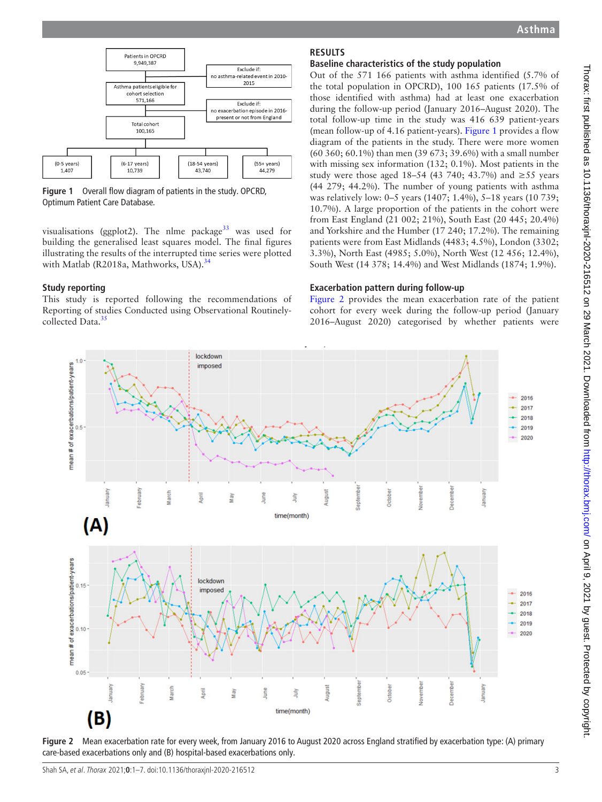

<span id="page-3-0"></span>**Figure 1** Overall flow diagram of patients in the study. OPCRD, Optimum Patient Care Database.

visualisations (ggplot2). The nlme package<sup>33</sup> was used for building the generalised least squares model. The final figures illustrating the results of the interrupted time series were plotted with Matlab (R2018a, Mathworks, USA).<sup>[34](#page-7-24)</sup>

#### **Study reporting**

This study is reported following the recommendations of Reporting of studies Conducted using Observational Routinely-collected Data.<sup>[35](#page-7-25)</sup>

### **RESULTS**

#### **Baseline characteristics of the study population**

Out of the 571 166 patients with asthma identified (5.7% of the total population in OPCRD), 100 165 patients (17.5% of those identified with asthma) had at least one exacerbation during the follow-up period (January 2016–August 2020). The total follow-up time in the study was 416 639 patient-years (mean follow-up of 4.16 patient-years). [Figure](#page-3-0) 1 provides a flow diagram of the patients in the study. There were more women (60 360; 60.1%) than men (39 673; 39.6%) with a small number with missing sex information (132; 0.1%). Most patients in the study were those aged 18–54 (43 740; 43.7%) and ≥55 years (44 279; 44.2%). The number of young patients with asthma was relatively low: 0–5 years (1407; 1.4%), 5–18 years (10 739; 10.7%). A large proportion of the patients in the cohort were from East England (21 002; 21%), South East (20 445; 20.4%) and Yorkshire and the Humber (17 240; 17.2%). The remaining patients were from East Midlands (4483; 4.5%), London (3302; 3.3%), North East (4985; 5.0%), North West (12 456; 12.4%), South West (14 378; 14.4%) and West Midlands (1874; 1.9%).

#### **Exacerbation pattern during follow-up**

[Figure](#page-3-1) 2 provides the mean exacerbation rate of the patient cohort for every week during the follow-up period (January 2016–August 2020) categorised by whether patients were



<span id="page-3-1"></span>**Figure 2** Mean exacerbation rate for every week, from January 2016 to August 2020 across England stratified by exacerbation type: (A) primary care-based exacerbations only and (B) hospital-based exacerbations only.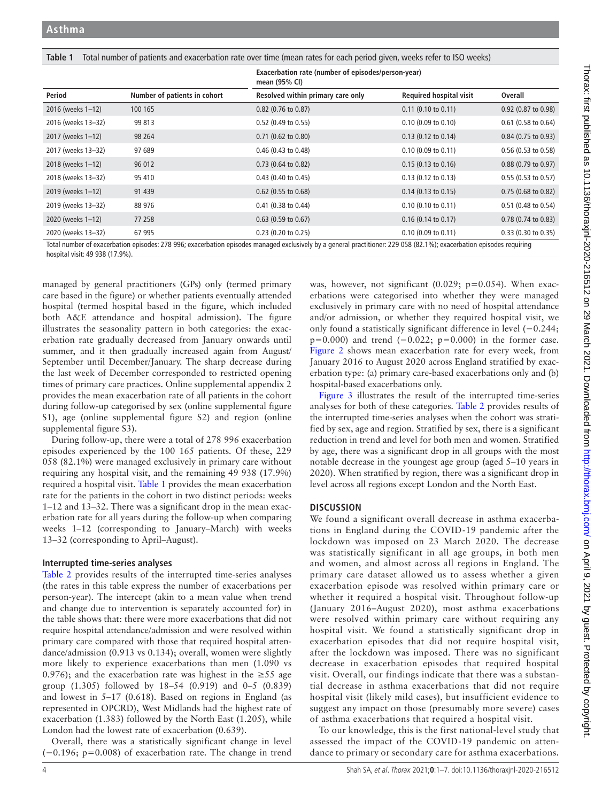<span id="page-4-0"></span>**Table 1** Total number of patients and exacerbation rate over time (mean rates for each period given, weeks refer to ISO weeks)

|                    |                              | Exacerbation rate (number of episodes/person-year)<br>mean (95% CI) |                                |                               |
|--------------------|------------------------------|---------------------------------------------------------------------|--------------------------------|-------------------------------|
| Period             | Number of patients in cohort | Resolved within primary care only                                   | <b>Required hospital visit</b> | Overall                       |
| 2016 (weeks 1-12)  | 100 165                      | $0.82$ (0.76 to 0.87)                                               | $0.11$ (0.10 to 0.11)          | $0.92$ (0.87 to 0.98)         |
| 2016 (weeks 13-32) | 99 813                       | 0.52 (0.49 to 0.55)                                                 | $0.10$ (0.09 to 0.10)          | $0.61$ (0.58 to 0.64)         |
| 2017 (weeks 1-12)  | 98 264                       | $0.71$ (0.62 to 0.80)                                               | $0.13$ (0.12 to 0.14)          | $0.84$ (0.75 to 0.93)         |
| 2017 (weeks 13-32) | 97 689                       | $0.46$ (0.43 to 0.48)                                               | $0.10$ (0.09 to 0.11)          | $0.56$ (0.53 to 0.58)         |
| 2018 (weeks 1-12)  | 96 012                       | $0.73$ (0.64 to 0.82)                                               | $0.15(0.13 \text{ to } 0.16)$  | $0.88(0.79 \text{ to } 0.97)$ |
| 2018 (weeks 13-32) | 95 410                       | $0.43$ (0.40 to 0.45)                                               | $0.13$ (0.12 to 0.13)          | $0.55$ (0.53 to 0.57)         |
| 2019 (weeks 1-12)  | 91 439                       | $0.62$ (0.55 to 0.68)                                               | $0.14$ (0.13 to 0.15)          | $0.75(0.68 \text{ to } 0.82)$ |
| 2019 (weeks 13-32) | 88 976                       | $0.41$ (0.38 to 0.44)                                               | $0.10$ (0.10 to 0.11)          | 0.51 (0.48 to 0.54)           |
| 2020 (weeks 1-12)  | 77 258                       | $0.63$ (0.59 to 0.67)                                               | $0.16$ (0.14 to 0.17)          | $0.78$ (0.74 to 0.83)         |
| 2020 (weeks 13-32) | 67 995                       | $0.23$ (0.20 to 0.25)                                               | $0.10$ (0.09 to 0.11)          | $0.33$ (0.30 to 0.35)         |

Total number of exacerbation episodes: 278 996; exacerbation episodes managed exclusively by a general practitioner: 229 058 (82.1%); exacerbation episodes requiring hospital visit: 49 938 (17.9%).

managed by general practitioners (GPs) only (termed primary care based in the figure) or whether patients eventually attended hospital (termed hospital based in the figure, which included both A&E attendance and hospital admission). The figure illustrates the seasonality pattern in both categories: the exacerbation rate gradually decreased from January onwards until summer, and it then gradually increased again from August/ September until December/January. The sharp decrease during the last week of December corresponded to restricted opening times of primary care practices. [Online supplemental appendix 2](https://dx.doi.org/10.1136/thoraxjnl-2020-216512)  provides the mean exacerbation rate of all patients in the cohort during follow-up categorised by sex ([online supplemental figure](https://dx.doi.org/10.1136/thoraxjnl-2020-216512)  [S1\)](https://dx.doi.org/10.1136/thoraxjnl-2020-216512), age ([online supplemental figure S2\)](https://dx.doi.org/10.1136/thoraxjnl-2020-216512) and region [\(online](https://dx.doi.org/10.1136/thoraxjnl-2020-216512)  [supplemental figure S3](https://dx.doi.org/10.1136/thoraxjnl-2020-216512)).

During follow-up, there were a total of 278 996 exacerbation episodes experienced by the 100 165 patients. Of these, 229 058 (82.1%) were managed exclusively in primary care without requiring any hospital visit, and the remaining 49 938 (17.9%) required a hospital visit. [Table](#page-4-0) 1 provides the mean exacerbation rate for the patients in the cohort in two distinct periods: weeks 1–12 and 13–32. There was a significant drop in the mean exacerbation rate for all years during the follow-up when comparing weeks 1–12 (corresponding to January–March) with weeks 13–32 (corresponding to April–August).

#### **Interrupted time-series analyses**

[Table](#page-5-0) 2 provides results of the interrupted time-series analyses (the rates in this table express the number of exacerbations per person-year). The intercept (akin to a mean value when trend and change due to intervention is separately accounted for) in the table shows that: there were more exacerbations that did not require hospital attendance/admission and were resolved within primary care compared with those that required hospital attendance/admission (0.913 vs 0.134); overall, women were slightly more likely to experience exacerbations than men (1.090 vs 0.976); and the exacerbation rate was highest in the  $\geq 55$  age group (1.305) followed by 18–54 (0.919) and 0–5 (0.839) and lowest in 5–17 (0.618). Based on regions in England (as represented in OPCRD), West Midlands had the highest rate of exacerbation (1.383) followed by the North East (1.205), while London had the lowest rate of exacerbation (0.639).

Overall, there was a statistically significant change in level (−0.196; p=0.008) of exacerbation rate. The change in trend

was, however, not significant (0.029; p=0.054). When exacerbations were categorised into whether they were managed exclusively in primary care with no need of hospital attendance and/or admission, or whether they required hospital visit, we only found a statistically significant difference in level (−0.244;  $p=0.000$ ) and trend  $(-0.022; p=0.000)$  in the former case. [Figure](#page-3-1) 2 shows mean exacerbation rate for every week, from January 2016 to August 2020 across England stratified by exacerbation type: (a) primary care-based exacerbations only and (b) hospital-based exacerbations only.

[Figure](#page-5-1) 3 illustrates the result of the interrupted time-series analyses for both of these categories. [Table](#page-5-0) 2 provides results of the interrupted time-series analyses when the cohort was stratified by sex, age and region. Stratified by sex, there is a significant reduction in trend and level for both men and women. Stratified by age, there was a significant drop in all groups with the most notable decrease in the youngest age group (aged 5–10 years in 2020). When stratified by region, there was a significant drop in level across all regions except London and the North East.

#### **DISCUSSION**

We found a significant overall decrease in asthma exacerbations in England during the COVID-19 pandemic after the lockdown was imposed on 23 March 2020. The decrease was statistically significant in all age groups, in both men and women, and almost across all regions in England. The primary care dataset allowed us to assess whether a given exacerbation episode was resolved within primary care or whether it required a hospital visit. Throughout follow-up (January 2016–August 2020), most asthma exacerbations were resolved within primary care without requiring any hospital visit. We found a statistically significant drop in exacerbation episodes that did not require hospital visit, after the lockdown was imposed. There was no significant decrease in exacerbation episodes that required hospital visit. Overall, our findings indicate that there was a substantial decrease in asthma exacerbations that did not require hospital visit (likely mild cases), but insufficient evidence to suggest any impact on those (presumably more severe) cases of asthma exacerbations that required a hospital visit.

To our knowledge, this is the first national-level study that assessed the impact of the COVID-19 pandemic on attendance to primary or secondary care for asthma exacerbations.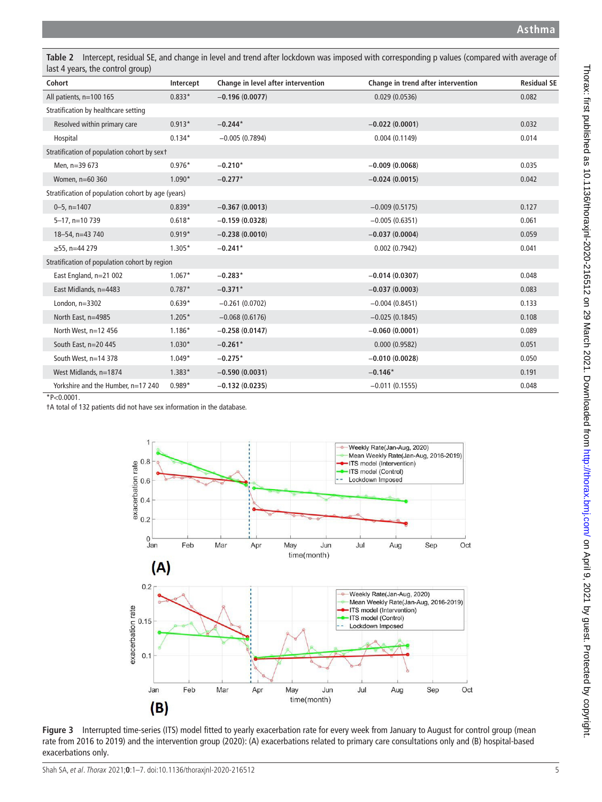<span id="page-5-0"></span>**Table 2** Intercept, residual SE, and change in level and trend after lockdown was imposed with corresponding p values (compared with average of last 4 years, the control group)

| Cohort                                             | Intercept | Change in level after intervention | Change in trend after intervention | <b>Residual SE</b> |  |  |
|----------------------------------------------------|-----------|------------------------------------|------------------------------------|--------------------|--|--|
| All patients, n=100 165                            | $0.833*$  | $-0.196(0.0077)$                   | 0.029(0.0536)                      | 0.082              |  |  |
| Stratification by healthcare setting               |           |                                    |                                    |                    |  |  |
| Resolved within primary care                       | $0.913*$  | $-0.244*$                          | $-0.022(0.0001)$                   | 0.032              |  |  |
| Hospital                                           | $0.134*$  | $-0.005(0.7894)$                   | 0.004(0.1149)                      | 0.014              |  |  |
| Stratification of population cohort by sext        |           |                                    |                                    |                    |  |  |
| Men, n=39 673                                      | $0.976*$  | $-0.210*$                          | $-0.009(0.0068)$                   | 0.035              |  |  |
| Women, n=60 360                                    | $1.090*$  | $-0.277*$                          | $-0.024(0.0015)$                   | 0.042              |  |  |
| Stratification of population cohort by age (years) |           |                                    |                                    |                    |  |  |
| $0 - 5$ , n=1407                                   | $0.839*$  | $-0.367(0.0013)$                   | $-0.009(0.5175)$                   | 0.127              |  |  |
| $5 - 17$ , n=10 739                                | $0.618*$  | $-0.159(0.0328)$                   | $-0.005(0.6351)$                   | 0.061              |  |  |
| 18-54, n=43 740                                    | $0.919*$  | $-0.238(0.0010)$                   | $-0.037(0.0004)$                   | 0.059              |  |  |
| $≥55$ , n=44 279                                   | $1.305*$  | $-0.241*$                          | 0.002(0.7942)                      | 0.041              |  |  |
| Stratification of population cohort by region      |           |                                    |                                    |                    |  |  |
| East England, n=21 002                             | $1.067*$  | $-0.283*$                          | $-0.014(0.0307)$                   | 0.048              |  |  |
| East Midlands, n=4483                              | $0.787*$  | $-0.371*$                          | $-0.037(0.0003)$                   | 0.083              |  |  |
| London, $n=3302$                                   | $0.639*$  | $-0.261(0.0702)$                   | $-0.004(0.8451)$                   | 0.133              |  |  |
| North East, n=4985                                 | $1.205*$  | $-0.068(0.6176)$                   | $-0.025(0.1845)$                   | 0.108              |  |  |
| North West, $n=12$ 456                             | $1.186*$  | $-0.258(0.0147)$                   | $-0.060(0.0001)$                   | 0.089              |  |  |
| South East, n=20 445                               | $1.030*$  | $-0.261*$                          | 0.000(0.9582)                      | 0.051              |  |  |
| South West, n=14 378                               | $1.049*$  | $-0.275*$                          | $-0.010(0.0028)$                   | 0.050              |  |  |
| West Midlands, n=1874                              | $1.383*$  | $-0.590(0.0031)$                   | $-0.146*$                          | 0.191              |  |  |
| Yorkshire and the Humber, n=17 240                 | $0.989*$  | $-0.132(0.0235)$                   | $-0.011(0.1555)$                   | 0.048              |  |  |

 $*P<0.0001$ .

†A total of 132 patients did not have sex information in the database.



<span id="page-5-1"></span>**Figure 3** Interrupted time-series (ITS) model fitted to yearly exacerbation rate for every week from January to August for control group (mean rate from 2016 to 2019) and the intervention group (2020): (A) exacerbations related to primary care consultations only and (B) hospital-based exacerbations only.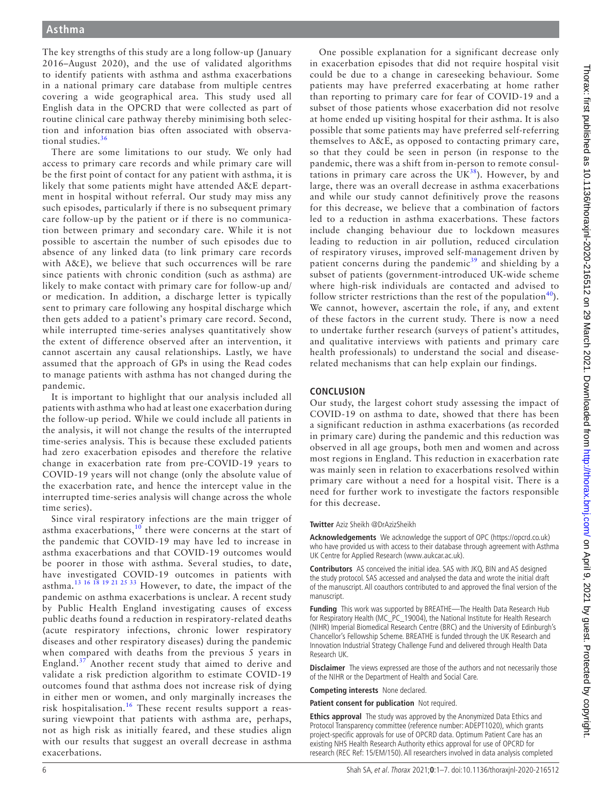The key strengths of this study are a long follow-up (January 2016–August 2020), and the use of validated algorithms to identify patients with asthma and asthma exacerbations in a national primary care database from multiple centres covering a wide geographical area. This study used all English data in the OPCRD that were collected as part of routine clinical care pathway thereby minimising both selection and information bias often associated with observational studies. $36$ 

There are some limitations to our study. We only had access to primary care records and while primary care will be the first point of contact for any patient with asthma, it is likely that some patients might have attended A&E department in hospital without referral. Our study may miss any such episodes, particularly if there is no subsequent primary care follow-up by the patient or if there is no communication between primary and secondary care. While it is not possible to ascertain the number of such episodes due to absence of any linked data (to link primary care records with A&E), we believe that such occurrences will be rare since patients with chronic condition (such as asthma) are likely to make contact with primary care for follow-up and/ or medication. In addition, a discharge letter is typically sent to primary care following any hospital discharge which then gets added to a patient's primary care record. Second, while interrupted time-series analyses quantitatively show the extent of difference observed after an intervention, it cannot ascertain any causal relationships. Lastly, we have assumed that the approach of GPs in using the Read codes to manage patients with asthma has not changed during the pandemic.

It is important to highlight that our analysis included all patients with asthma who had at least one exacerbation during the follow-up period. While we could include all patients in the analysis, it will not change the results of the interrupted time-series analysis. This is because these excluded patients had zero exacerbation episodes and therefore the relative change in exacerbation rate from pre-COVID-19 years to COVID-19 years will not change (only the absolute value of the exacerbation rate, and hence the intercept value in the interrupted time-series analysis will change across the whole time series).

Since viral respiratory infections are the main trigger of asthma exacerbations, $10$  there were concerns at the start of the pandemic that COVID-19 may have led to increase in asthma exacerbations and that COVID-19 outcomes would be poorer in those with asthma. Several studies, to date, have investigated COVID-19 outcomes in patients with asthma.[13 16 18 19 21 25 33](#page-7-10) However, to date, the impact of the pandemic on asthma exacerbations is unclear. A recent study by Public Health England investigating causes of excess public deaths found a reduction in respiratory-related deaths (acute respiratory infections, chronic lower respiratory diseases and other respiratory diseases) during the pandemic when compared with deaths from the previous 5 years in England.<sup>[37](#page-7-27)</sup> Another recent study that aimed to derive and validate a risk prediction algorithm to estimate COVID-19 outcomes found that asthma does not increase risk of dying in either men or women, and only marginally increases the risk hospitalisation.<sup>[16](#page-7-12)</sup> These recent results support a reassuring viewpoint that patients with asthma are, perhaps, not as high risk as initially feared, and these studies align with our results that suggest an overall decrease in asthma exacerbations.

One possible explanation for a significant decrease only in exacerbation episodes that did not require hospital visit could be due to a change in careseeking behaviour. Some patients may have preferred exacerbating at home rather than reporting to primary care for fear of COVID-19 and a subset of those patients whose exacerbation did not resolve at home ended up visiting hospital for their asthma. It is also possible that some patients may have preferred self-referring themselves to A&E, as opposed to contacting primary care, so that they could be seen in person (in response to the pandemic, there was a shift from in-person to remote consultations in primary care across the  $\overline{UK}^{38}$  $\overline{UK}^{38}$  $\overline{UK}^{38}$ ). However, by and large, there was an overall decrease in asthma exacerbations and while our study cannot definitively prove the reasons for this decrease, we believe that a combination of factors led to a reduction in asthma exacerbations. These factors include changing behaviour due to lockdown measures leading to reduction in air pollution, reduced circulation of respiratory viruses, improved self-management driven by patient concerns during the pandemic $39$  and shielding by a subset of patients (government-introduced UK-wide scheme where high-risk individuals are contacted and advised to follow stricter restrictions than the rest of the population<sup>40</sup>). We cannot, however, ascertain the role, if any, and extent of these factors in the current study. There is now a need to undertake further research (surveys of patient's attitudes, and qualitative interviews with patients and primary care health professionals) to understand the social and diseaserelated mechanisms that can help explain our findings.

#### **CONCLUSION**

Our study, the largest cohort study assessing the impact of COVID-19 on asthma to date, showed that there has been a significant reduction in asthma exacerbations (as recorded in primary care) during the pandemic and this reduction was observed in all age groups, both men and women and across most regions in England. This reduction in exacerbation rate was mainly seen in relation to exacerbations resolved within primary care without a need for a hospital visit. There is a need for further work to investigate the factors responsible for this decrease.

**Twitter** Aziz Sheikh [@DrAzizSheikh](https://twitter.com/DrAzizSheikh)

**Acknowledgements** We acknowledge the support of OPC (<https://opcrd.co.uk>) who have provided us with access to their database through agreement with Asthma UK Centre for Applied Research (www.aukcar.ac.uk).

**Contributors** AS conceived the initial idea. SAS with JKQ, BIN and AS designed the study protocol. SAS accessed and analysed the data and wrote the initial draft of the manuscript. All coauthors contributed to and approved the final version of the manuscript.

**Funding** This work was supported by BREATHE—The Health Data Research Hub for Respiratory Health (MC\_PC\_19004), the National Institute for Health Research (NIHR) Imperial Biomedical Research Centre (BRC) and the University of Edinburgh's Chancellor's Fellowship Scheme. BREATHE is funded through the UK Research and Innovation Industrial Strategy Challenge Fund and delivered through Health Data Research UK.

**Disclaimer** The views expressed are those of the authors and not necessarily those of the NIHR or the Department of Health and Social Care.

**Competing interests** None declared.

**Patient consent for publication** Not required.

**Ethics approval** The study was approved by the Anonymized Data Ethics and Protocol Transparency committee (reference number: ADEPT1020), which grants project-specific approvals for use of OPCRD data. Optimum Patient Care has an existing NHS Health Research Authority ethics approval for use of OPCRD for research (REC Ref: 15/EM/150). All researchers involved in data analysis completed